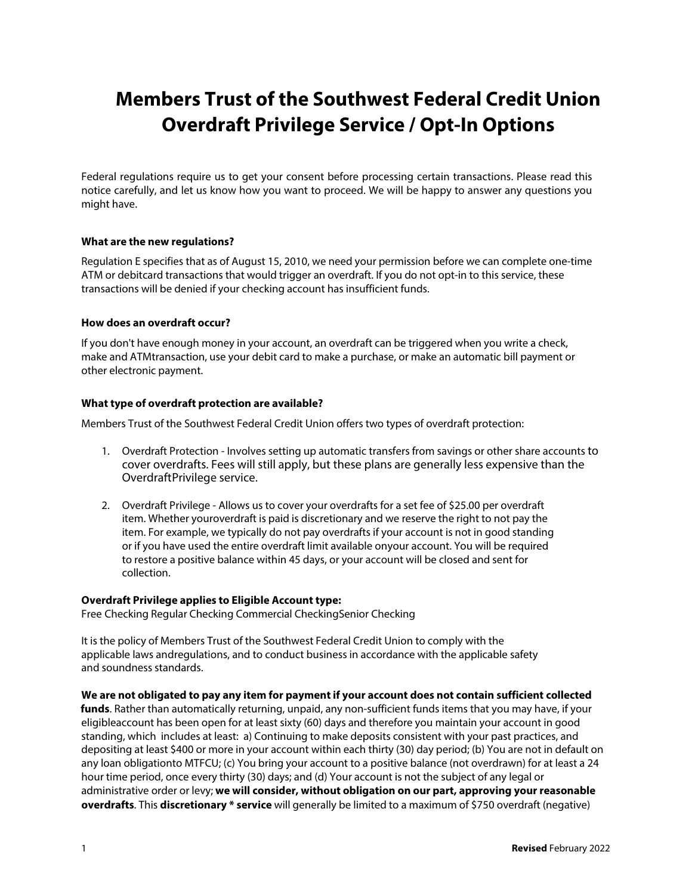# **Members Trust of the Southwest Federal Credit Union Overdraft Privilege Service / Opt-In Options**

Federal regulations require us to get your consent before processing certain transactions. Please read this notice carefully, and let us know how you want to proceed. We will be happy to answer any questions you might have.

## **What are the new regulations?**

Regulation E specifies that as of August 15, 2010, we need your permission before we can complete one-time ATM or debitcard transactions that would trigger an overdraft. If you do not opt-in to this service, these transactions will be denied if your checking account has insufficient funds.

#### **How does an overdraft occur?**

If you don't have enough money in your account, an overdraft can be triggered when you write a check, make and ATMtransaction, use your debit card to make a purchase, or make an automatic bill payment or other electronic payment.

#### **What type of overdraft protection are available?**

Members Trust of the Southwest Federal Credit Union offers two types of overdraft protection:

- 1. Overdraft Protection Involves setting up automatic transfers from savings or other share accounts to cover overdrafts. Fees will still apply, but these plans are generally less expensive than the OverdraftPrivilege service.
- 2. Overdraft Privilege Allows us to cover your overdrafts for a set fee of \$25.00 per overdraft item. Whether youroverdraft is paid is discretionary and we reserve the right to not pay the item. For example, we typically do not pay overdrafts if your account is not in good standing or if you have used the entire overdraft limit available onyour account. You will be required to restore a positive balance within 45 days, or your account will be closed and sent for collection.

#### **Overdraft Privilege applies to Eligible Account type:**

Free Checking Regular Checking Commercial CheckingSenior Checking

It is the policy of Members Trust of the Southwest Federal Credit Union to comply with the applicable laws andregulations, and to conduct business in accordance with the applicable safety and soundness standards.

## **We are not obligated to pay any item for payment if your account does not contain sufficient collected**

**funds**. Rather than automatically returning, unpaid, any non-sufficient funds items that you may have, if your eligibleaccount has been open for at least sixty (60) days and therefore you maintain your account in good standing, which includes at least: a) Continuing to make deposits consistent with your past practices, and depositing at least \$400 or more in your account within each thirty (30) day period; (b) You are not in default on any loan obligationto MTFCU; (c) You bring your account to a positive balance (not overdrawn) for at least a 24 hour time period, once every thirty (30) days; and (d) Your account is not the subject of any legal or administrative order or levy; **we will consider, without obligation on our part, approving your reasonable overdrafts**. This **discretionary \* service** will generally be limited to a maximum of \$750 overdraft (negative)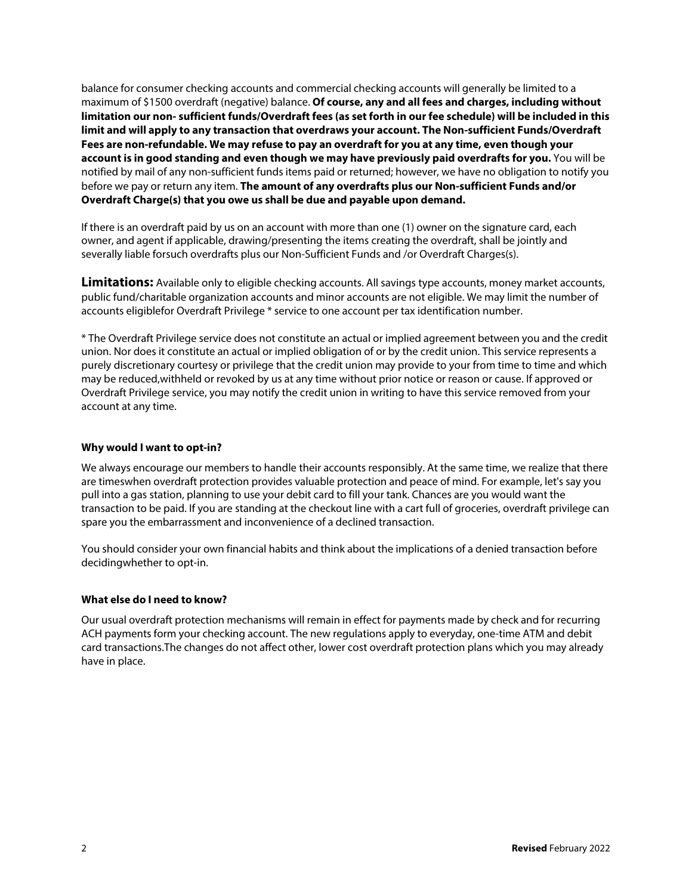balance for consumer checking accounts and commercial checking accounts will generally be limited to a maximum of \$1500 overdraft (negative) balance. **Of course, any and all fees and charges, including without limitation our non- sufficient funds/Overdraft fees (as set forth in our fee schedule) will be included in this limit and will apply to any transaction that overdraws your account. The Non-sufficient Funds/Overdraft Fees are non-refundable. We may refuse to pay an overdraft for you at any time, even though your account is in good standing and even though we may have previously paid overdrafts for you.** You will be notified by mail of any non-sufficient funds items paid or returned; however, we have no obligation to notify you before we pay or return any item. **The amount of any overdrafts plus our Non-sufficient Funds and/or Overdraft Charge(s) that you owe us shall be due and payable upon demand.**

If there is an overdraft paid by us on an account with more than one (1) owner on the signature card, each owner, and agent if applicable, drawing/presenting the items creating the overdraft, shall be jointly and severally liable forsuch overdrafts plus our Non-Sufficient Funds and /or Overdraft Charges(s).

**Limitations:** Available only to eligible checking accounts. All savings type accounts, money market accounts, public fund/charitable organization accounts and minor accounts are not eligible. We may limit the number of accounts eligiblefor Overdraft Privilege \* service to one account per tax identification number.

\* The Overdraft Privilege service does not constitute an actual or implied agreement between you and the credit union. Nor does it constitute an actual or implied obligation of or by the credit union. This service represents a purely discretionary courtesy or privilege that the credit union may provide to your from time to time and which may be reduced,withheld or revoked by us at any time without prior notice or reason or cause. If approved or Overdraft Privilege service, you may notify the credit union in writing to have this service removed from your account at any time.

# **Why would I want to opt-in?**

We always encourage our members to handle their accounts responsibly. At the same time, we realize that there are timeswhen overdraft protection provides valuable protection and peace of mind. For example, let's say you pull into a gas station, planning to use your debit card to fill your tank. Chances are you would want the transaction to be paid. If you are standing at the checkout line with a cart full of groceries, overdraft privilege can spare you the embarrassment and inconvenience of a declined transaction.

You should consider your own financial habits and think about the implications of a denied transaction before decidingwhether to opt-in.

## **What else do I need to know?**

Our usual overdraft protection mechanisms will remain in effect for payments made by check and for recurring ACH payments form your checking account. The new regulations apply to everyday, one-time ATM and debit card transactions.The changes do not affect other, lower cost overdraft protection plans which you may already have in place.